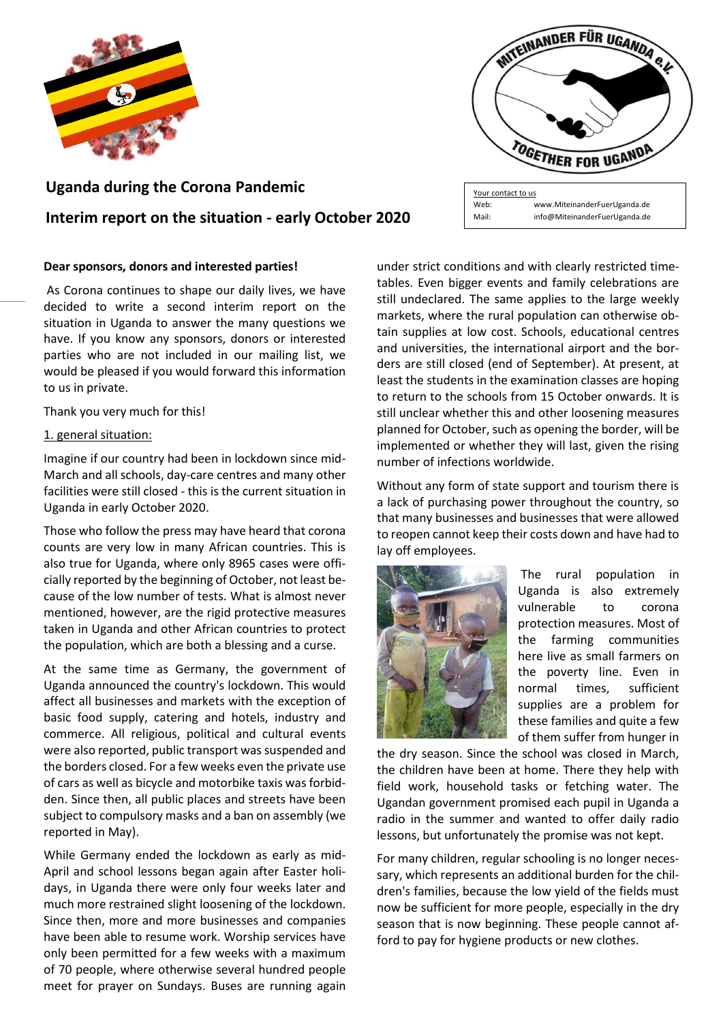

# **Uganda during the Corona Pandemic Interim report on the situation - early October 2020**

### **Dear sponsors, donors and interested parties!**

As Corona continues to shape our daily lives, we have decided to write a second interim report on the situation in Uganda to answer the many questions we have. If you know any sponsors, donors or interested parties who are not included in our mailing list, we would be pleased if you would forward this information to us in private.

Thank you very much for this!

#### 1. general situation:

Imagine if our country had been in lockdown since mid-March and all schools, day-care centres and many other facilities were still closed - this is the current situation in Uganda in early October 2020.

Those who follow the press may have heard that corona counts are very low in many African countries. This is also true for Uganda, where only 8965 cases were officially reported by the beginning of October, not least because of the low number of tests. What is almost never mentioned, however, are the rigid protective measures taken in Uganda and other African countries to protect the population, which are both a blessing and a curse.

At the same time as Germany, the government of Uganda announced the country's lockdown. This would affect all businesses and markets with the exception of basic food supply, catering and hotels, industry and commerce. All religious, political and cultural events were also reported, public transport was suspended and the borders closed. For a few weeks even the private use of cars as well as bicycle and motorbike taxis was forbidden. Since then, all public places and streets have been subject to compulsory masks and a ban on assembly (we reported in May).

While Germany ended the lockdown as early as mid-April and school lessons began again after Easter holidays, in Uganda there were only four weeks later and much more restrained slight loosening of the lockdown. Since then, more and more businesses and companies have been able to resume work. Worship services have only been permitted for a few weeks with a maximum of 70 people, where otherwise several hundred people meet for prayer on Sundays. Buses are running again under strict conditions and with clearly restricted timetables. Even bigger events and family celebrations are still undeclared. The same applies to the large weekly markets, where the rural population can otherwise obtain supplies at low cost. Schools, educational centres and universities, the international airport and the borders are still closed (end of September). At present, at least the students in the examination classes are hoping to return to the schools from 15 October onwards. It is still unclear whether this and other loosening measures planned for October, such as opening the border, will be implemented or whether they will last, given the rising number of infections worldwide.

Without any form of state support and tourism there is a lack of purchasing power throughout the country, so that many businesses and businesses that were allowed to reopen cannot keep their costs down and have had to lay off employees.



The rural population in Uganda is also extremely vulnerable to corona protection measures. Most of the farming communities here live as small farmers on the poverty line. Even in normal times, sufficient supplies are a problem for these families and quite a few of them suffer from hunger in

the dry season. Since the school was closed in March, the children have been at home. There they help with field work, household tasks or fetching water. The Ugandan government promised each pupil in Uganda a radio in the summer and wanted to offer daily radio lessons, but unfortunately the promise was not kept.

For many children, regular schooling is no longer necessary, which represents an additional burden for the children's families, because the low yield of the fields must now be sufficient for more people, especially in the dry season that is now beginning. These people cannot afford to pay for hygiene products or new clothes.



Web: [www.MiteinanderFuerUganda.de](http://www.miteinanderfueruganda.de/) Mail: info[@MiteinanderFuerUganda.de](mailto:MiteinanderFuerUganda@yahoo.de)